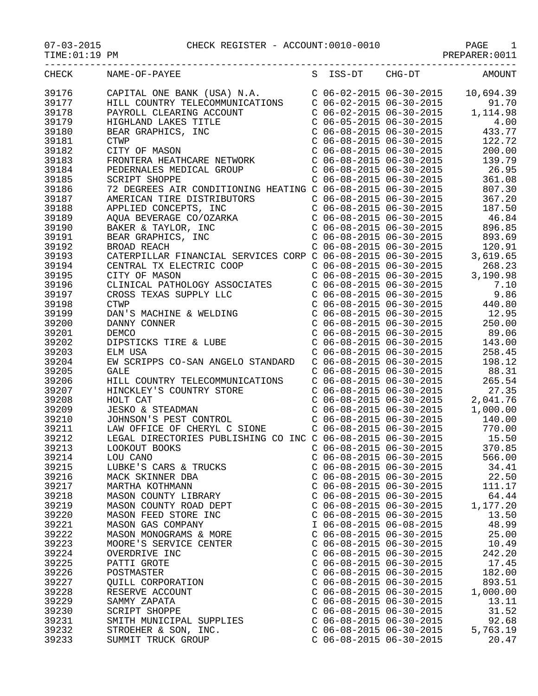07-03-2015 CHECK REGISTER - ACCOUNT:0010-0010 PAGE 1

| TIME: 01:19 PM       |                                                                                                                                                                                |                                                    | PREPARER: 0011 |
|----------------------|--------------------------------------------------------------------------------------------------------------------------------------------------------------------------------|----------------------------------------------------|----------------|
| -----------<br>CHECK | NAME-OF-PAYEE                                                                                                                                                                  | S ISS-DT CHG-DT                                    | <b>AMOUNT</b>  |
| 39176                | CAPITAL ONE BANK (USA) N.A.                                                                                                                                                    | $C$ 06-02-2015 06-30-2015                          | 10,694.39      |
| 39177                | HILL COUNTRY TELECOMMUNICATIONS                                                                                                                                                | $C$ 06-02-2015 06-30-2015                          | 91.70          |
| 39178                |                                                                                                                                                                                | $C$ 06-02-2015 06-30-2015                          | 1,114.98       |
| 39179                |                                                                                                                                                                                | $C$ 06-05-2015 06-30-2015                          | 4.00           |
| 39180                |                                                                                                                                                                                | $C$ 06-08-2015 06-30-2015                          | 433.77         |
| 39181                |                                                                                                                                                                                | $C$ 06-08-2015 06-30-2015                          | 122.72         |
| 39182                |                                                                                                                                                                                | $C$ 06-08-2015 06-30-2015                          | 200.00         |
| 39183                | PAYROLL CLEARING ACCOUNT<br>HIGHLAND LAKES TITLE<br>BEAR GRAPHICS, INC<br>CTWP<br>CITY OF MASON<br>FRONTERA HEATHCARE NETWORK                                                  | $C$ 06-08-2015 06-30-2015                          | 139.79         |
| 39184                | PEDERNALES MEDICAL GROUP                                                                                                                                                       | $C$ 06-08-2015 06-30-2015                          | 26.95          |
| 39185                | SCRIPT SHOPPE                                                                                                                                                                  | $C$ 06-08-2015 06-30-2015                          | 361.08         |
| 39186                | 72 DEGREES AIR CONDITIONING HEATING C 06-08-2015 06-30-2015                                                                                                                    |                                                    | 807.30         |
| 39187                |                                                                                                                                                                                | $C$ 06-08-2015 06-30-2015                          | 367.20         |
| 39188                |                                                                                                                                                                                | $C$ 06-08-2015 06-30-2015                          | 187.50         |
| 39189                | NERICAN TIRE DISTRIBUTORS<br>AMERICAN TIRE DISTRIBUTORS<br>APPLIED CONCEPTS, INC<br>AQUA BEVERAGE CO/OZARKA<br>BAKER & TAYLOR, INC<br>BEAR GRAPHICS, INC<br>BEAR GRAPHICS, INC | $C$ 06-08-2015 06-30-2015                          | 46.84          |
| 39190                |                                                                                                                                                                                | $C$ 06-08-2015 06-30-2015                          | 896.85         |
| 39191                |                                                                                                                                                                                | $C$ 06-08-2015 06-30-2015                          | 893.69         |
| 39192                | BROAD REACH                                                                                                                                                                    | $C$ 06-08-2015 06-30-2015                          | 120.91         |
| 39193                | CATERPILLAR FINANCIAL SERVICES CORP C 06-08-2015 06-30-2015                                                                                                                    |                                                    | 3,619.65       |
| 39194                | CENTRAL TX ELECTRIC COOP                                                                                                                                                       | $C$ 06-08-2015 06-30-2015                          | 268.23         |
| 39195                | CITY OF MASON                                                                                                                                                                  | $C$ 06-08-2015 06-30-2015                          | 3,190.98       |
| 39196                | CLINICAL PATHOLOGY ASSOCIATES                                                                                                                                                  | $C$ 06-08-2015 06-30-2015                          | 7.10           |
| 39197                | CROSS TEXAS SUPPLY LLC                                                                                                                                                         | $C$ 06-08-2015 06-30-2015                          | 9.86           |
| 39198                | <b>CTWP</b>                                                                                                                                                                    | $C$ 06-08-2015 06-30-2015                          | 440.80         |
| 39199                | DAN'S MACHINE & WELDING<br>DANNY CONNER<br>DEMCO                                                                                                                               | $C$ 06-08-2015 06-30-2015                          | 12.95          |
| 39200                |                                                                                                                                                                                | $C$ 06-08-2015 06-30-2015                          | 250.00         |
| 39201                |                                                                                                                                                                                | $C$ 06-08-2015 06-30-2015                          | 89.06          |
| 39202                | DIPSTICKS TIRE & LUBE                                                                                                                                                          | $C$ 06-08-2015 06-30-2015                          | 143.00         |
| 39203                | ELM USA                                                                                                                                                                        | $C$ 06-08-2015 06-30-2015                          | 258.45         |
| 39204                | EW SCRIPPS CO-SAN ANGELO STANDARD                                                                                                                                              | $C$ 06-08-2015 06-30-2015                          | 198.12         |
| 39205                | <b>GALE</b>                                                                                                                                                                    | $C$ 06-08-2015 06-30-2015                          | 88.31          |
| 39206                | HILL COUNTRY TELECOMMUNICATIONS                                                                                                                                                | $C$ 06-08-2015 06-30-2015                          | 265.54         |
| 39207                | HINCKLEY'S COUNTRY STORE                                                                                                                                                       | $C$ 06-08-2015 06-30-2015                          | 27.35          |
| 39208                | HOLT CAT                                                                                                                                                                       | $C$ 06-08-2015 06-30-2015                          | 2,041.76       |
| 39209                | <b>JESKO &amp; STEADMAN</b>                                                                                                                                                    |                                                    | 1,000.00       |
| 39210                | JOHNSON'S PEST CONTROL                                                                                                                                                         | C 06-08-2015 06-30-2015<br>C 06-08-2015 06-30-2015 | 140.00         |
| 39211                | LAW OFFICE OF CHERYL C SIONE                                                                                                                                                   | $C$ 06-08-2015 06-30-2015                          | 770.00         |
| 39212                | LEGAL DIRECTORIES PUBLISHING CO INC C 06-08-2015 06-30-2015                                                                                                                    |                                                    | 15.50          |
| 39213                | LOOKOUT BOOKS                                                                                                                                                                  | $C$ 06-08-2015 06-30-2015                          | 370.85         |
| 39214                | LOU CANO                                                                                                                                                                       | $C$ 06-08-2015 06-30-2015                          | 566.00         |
| 39215                | LUBKE'S CARS & TRUCKS                                                                                                                                                          | $C$ 06-08-2015 06-30-2015                          | 34.41          |
| 39216                | MACK SKINNER DBA                                                                                                                                                               | $C$ 06-08-2015 06-30-2015                          | 22.50          |
| 39217                | MARTHA KOTHMANN                                                                                                                                                                | $C$ 06-08-2015 06-30-2015                          | 111.17         |
| 39218                | MASON COUNTY LIBRARY                                                                                                                                                           | $C$ 06-08-2015 06-30-2015                          | 64.44          |
| 39219                | MASON COUNTY ROAD DEPT                                                                                                                                                         | $C$ 06-08-2015 06-30-2015                          | 1,177.20       |
| 39220                | MASON FEED STORE INC                                                                                                                                                           | $C$ 06-08-2015 06-30-2015                          | 13.50          |
| 39221                | MASON GAS COMPANY                                                                                                                                                              | I 06-08-2015 06-08-2015                            | 48.99          |
| 39222                | MASON MONOGRAMS & MORE                                                                                                                                                         | $C$ 06-08-2015 06-30-2015                          | 25.00          |
| 39223                | MOORE'S SERVICE CENTER                                                                                                                                                         | $C$ 06-08-2015 06-30-2015                          | 10.49          |
| 39224                | OVERDRIVE INC                                                                                                                                                                  | $C$ 06-08-2015 06-30-2015                          | 242.20         |
| 39225                | PATTI GROTE                                                                                                                                                                    | $C$ 06-08-2015 06-30-2015                          | 17.45          |
| 39226                | POSTMASTER                                                                                                                                                                     | $C$ 06-08-2015 06-30-2015                          | 182.00         |
| 39227                | QUILL CORPORATION                                                                                                                                                              | $C$ 06-08-2015 06-30-2015                          | 893.51         |
| 39228                | RESERVE ACCOUNT                                                                                                                                                                | $C$ 06-08-2015 06-30-2015                          | 1,000.00       |
| 39229                | SAMMY ZAPATA                                                                                                                                                                   | $C$ 06-08-2015 06-30-2015                          | 13.11          |
| 39230                | SCRIPT SHOPPE                                                                                                                                                                  | $C$ 06-08-2015 06-30-2015                          | 31.52          |
| 39231                | SMITH MUNICIPAL SUPPLIES                                                                                                                                                       | $C$ 06-08-2015 06-30-2015                          | 92.68          |
| 39232                | STROEHER & SON, INC.                                                                                                                                                           | $C$ 06-08-2015 06-30-2015                          | 5,763.19       |
| 39233                | SUMMIT TRUCK GROUP                                                                                                                                                             | $C$ 06-08-2015 06-30-2015                          | 20.47          |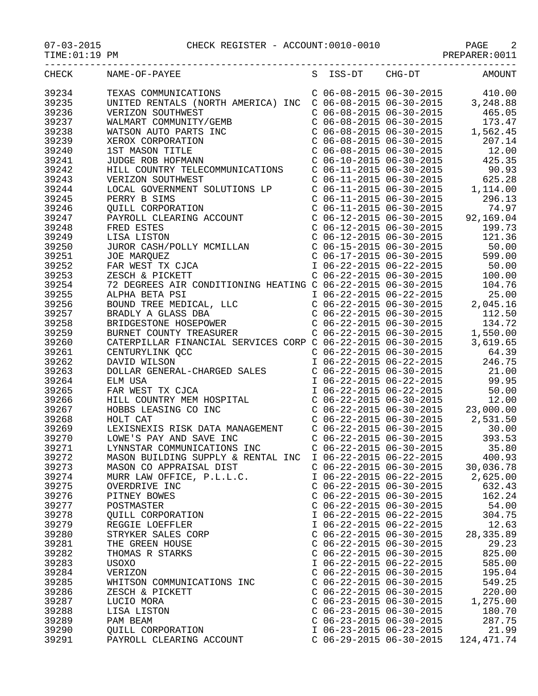## 07-03-2015 CHECK REGISTER - ACCOUNT:0010-0010 PAGE 2

PREPARER:0011

| CHECK | NAME-OF-PAYEE                                                                                                                                                                                                       |                           |                                                                                           | S ISS-DT CHG-DT AMOUNT                                                                                                                                                                      |
|-------|---------------------------------------------------------------------------------------------------------------------------------------------------------------------------------------------------------------------|---------------------------|-------------------------------------------------------------------------------------------|---------------------------------------------------------------------------------------------------------------------------------------------------------------------------------------------|
| 39234 | TEXAS COMMUNICATIONS                                                                                                                                                                                                |                           |                                                                                           | $C$ 06-08-2015 06-30-2015 410.00                                                                                                                                                            |
|       | UNITED RENTALS (NORTH AMERICA) INC                                                                                                                                                                                  |                           |                                                                                           | $C$ 06-08-2015 06-30-2015 3,248.88                                                                                                                                                          |
| 39235 |                                                                                                                                                                                                                     |                           |                                                                                           |                                                                                                                                                                                             |
| 39236 | VERIZON SOUTHWEST<br>WALMART COMMUNITY/GEMB<br>WALMART COMMUNITY/GEMB<br>WATSON AUTO PARTS INC<br>XEROX CORPORATION<br>1ST MASON TITLE<br>JUDGE ROB HOFMANN                                                         |                           | $C$ 06-08-2015 06-30-2015                                                                 | 465.05                                                                                                                                                                                      |
| 39237 |                                                                                                                                                                                                                     |                           | C $06-08-2015$ $06-30-2015$<br>C $06-08-2015$ $06-30-2015$<br>C $06-08-2015$ $06-30-2015$ | 173.47                                                                                                                                                                                      |
| 39238 |                                                                                                                                                                                                                     |                           |                                                                                           | 1,562.45                                                                                                                                                                                    |
| 39239 |                                                                                                                                                                                                                     |                           |                                                                                           | 207.14                                                                                                                                                                                      |
| 39240 |                                                                                                                                                                                                                     |                           | $C$ 06-08-2015 06-30-2015                                                                 | 12.00                                                                                                                                                                                       |
| 39241 |                                                                                                                                                                                                                     |                           |                                                                                           | $C$ 06-10-2015 06-30-2015 425.35                                                                                                                                                            |
| 39242 | HILL COUNTRY TELECOMMUNICATIONS                                                                                                                                                                                     |                           | $C$ 06-11-2015 06-30-2015                                                                 | 90.93                                                                                                                                                                                       |
| 39243 | VERIZON SOUTHWEST                                                                                                                                                                                                   |                           |                                                                                           |                                                                                                                                                                                             |
| 39244 |                                                                                                                                                                                                                     |                           |                                                                                           |                                                                                                                                                                                             |
| 39245 | LOCAL GOVERNMENT SOLUTIONS LP<br>PERRY B SIMS<br>CUILLE SCREEL                                                                                                                                                      |                           |                                                                                           | $\begin{tabular}{lllllllllll} $\text{C} & 06-11-2015 & 06-30-2015 & 625.28 \\ $\text{C} & 06-11-2015 & 06-30-2015 & 1,114.00 \\ $\text{C} & 06-11-2015 & 06-30-2015 & 296.13 \end{tabular}$ |
|       | PERRY B SIMS<br>QUILL CORPORATION<br>PAYROLL CLEARING ACCOUNT                                                                                                                                                       |                           |                                                                                           |                                                                                                                                                                                             |
| 39246 |                                                                                                                                                                                                                     |                           | $C$ 06-11-2015 06-30-2015                                                                 | 74.97                                                                                                                                                                                       |
| 39247 |                                                                                                                                                                                                                     |                           |                                                                                           | C 06-12-2015 06-30-2015 92,169.04<br>C 06-12-2015 06-30-2015 92,169.04<br>C 06-12-2015 06-30-2015 199.73<br>C 06-15-2015 06-30-2015 50.00                                                   |
| 39248 | PAIROLL CLEARING ACCOUNT<br>FRED ESTES<br>LISA LISTON<br>JUROR CASH/POLLY MCMILLAN<br>JOE MARQUEZ<br>FAR WEST TX CJCA<br>ZESCH & PICKETT                                                                            |                           |                                                                                           |                                                                                                                                                                                             |
| 39249 |                                                                                                                                                                                                                     |                           |                                                                                           |                                                                                                                                                                                             |
| 39250 |                                                                                                                                                                                                                     |                           |                                                                                           |                                                                                                                                                                                             |
| 39251 |                                                                                                                                                                                                                     |                           | $C$ 06-17-2015 06-30-2015                                                                 | 599.00                                                                                                                                                                                      |
| 39252 |                                                                                                                                                                                                                     |                           |                                                                                           | I 06-22-2015 06-22-2015 50.00                                                                                                                                                               |
| 39253 | 2ESCH & PICKETT<br>72 DEGREES AIR CONDITIONING HEATING C 06-22-2015 06-30-2015<br>72 DEGREES AIR CONDITIONING HEATING C 06-22-2015 06-30-2015<br>104.76<br>104.76<br>106-22-2015 06-22-2015<br>2,045.16<br>2,045.16 |                           |                                                                                           |                                                                                                                                                                                             |
| 39254 |                                                                                                                                                                                                                     |                           |                                                                                           |                                                                                                                                                                                             |
|       |                                                                                                                                                                                                                     |                           |                                                                                           |                                                                                                                                                                                             |
| 39255 |                                                                                                                                                                                                                     |                           |                                                                                           |                                                                                                                                                                                             |
| 39256 |                                                                                                                                                                                                                     |                           |                                                                                           |                                                                                                                                                                                             |
| 39257 | BOUND TREE MEDICAL, LLC<br>BRADLY A GLASS DBA<br>BRIDGESTONE HOSEPOWER<br>BURNET COUNTY TREASURER                                                                                                                   |                           |                                                                                           | C 06-22-2015 06-30-2015 112.50                                                                                                                                                              |
| 39258 |                                                                                                                                                                                                                     |                           |                                                                                           | 134.72                                                                                                                                                                                      |
| 39259 | BRIDGESTONE HOSEPOWER<br>BURNET COUNTY TREASURER<br>CONTY TREASURER<br>CATERPILLAR FINANCIAL SERVICES CORP C 06-22-2015 06-30-2015<br>CENTURYLINK QCC<br>CO6-22-2015 06-30-2015                                     |                           |                                                                                           | 1,550.00                                                                                                                                                                                    |
| 39260 |                                                                                                                                                                                                                     |                           |                                                                                           | 3,619.65                                                                                                                                                                                    |
| 39261 |                                                                                                                                                                                                                     |                           |                                                                                           | 64.39                                                                                                                                                                                       |
| 39262 | DAVID WILSON                                                                                                                                                                                                        |                           | I 06-22-2015 06-22-2015                                                                   | 246.75                                                                                                                                                                                      |
| 39263 | DOLLAR GENERAL-CHARGED SALES                                                                                                                                                                                        | $C$ 06-22-2015 06-30-2015 |                                                                                           | 21.00                                                                                                                                                                                       |
| 39264 | DOLLAR GENERAL-CHARGED DALLER<br>ELM USA<br>FAR WEST TX CJCA<br>HILL COUNTRY MEM HOSPITAL<br>HOBBS LEASING CO INC<br>WOLT CAT                                                                                       | I 06-22-2015 06-22-2015   |                                                                                           | 99.95                                                                                                                                                                                       |
|       |                                                                                                                                                                                                                     |                           |                                                                                           |                                                                                                                                                                                             |
| 39265 |                                                                                                                                                                                                                     | I 06-22-2015 06-22-2015   |                                                                                           | 50.00                                                                                                                                                                                       |
| 39266 |                                                                                                                                                                                                                     |                           | $C$ 06-22-2015 06-30-2015                                                                 | 12.00                                                                                                                                                                                       |
| 39267 |                                                                                                                                                                                                                     |                           |                                                                                           | $C$ 06-22-2015 06-30-2015 23,000.00                                                                                                                                                         |
| 39268 |                                                                                                                                                                                                                     |                           |                                                                                           | $C$ 06-22-2015 06-30-2015 2,531.50                                                                                                                                                          |
| 39269 | LEXISNEXIS RISK DATA MANAGEMENT C 06-22-2015 06-30-2015                                                                                                                                                             |                           |                                                                                           | 30.00                                                                                                                                                                                       |
| 39270 | LOWE'S PAY AND SAVE INC                                                                                                                                                                                             |                           | $C$ 06-22-2015 06-30-2015                                                                 | 393.53                                                                                                                                                                                      |
| 39271 | LYNNSTAR COMMUNICATIONS INC                                                                                                                                                                                         | $C$ 06-22-2015 06-30-2015 |                                                                                           | 35.80                                                                                                                                                                                       |
| 39272 | MASON BUILDING SUPPLY & RENTAL INC                                                                                                                                                                                  | I 06-22-2015 06-22-2015   |                                                                                           | 400.93                                                                                                                                                                                      |
| 39273 | MASON CO APPRAISAL DIST                                                                                                                                                                                             | $C$ 06-22-2015 06-30-2015 |                                                                                           | 30,036.78                                                                                                                                                                                   |
| 39274 | MURR LAW OFFICE, P.L.L.C.                                                                                                                                                                                           | I 06-22-2015 06-22-2015   |                                                                                           | 2,625.00                                                                                                                                                                                    |
| 39275 | OVERDRIVE INC                                                                                                                                                                                                       | $C$ 06-22-2015 06-30-2015 |                                                                                           | 632.43                                                                                                                                                                                      |
|       |                                                                                                                                                                                                                     |                           |                                                                                           |                                                                                                                                                                                             |
| 39276 | PITNEY BOWES                                                                                                                                                                                                        | $C$ 06-22-2015 06-30-2015 |                                                                                           | 162.24                                                                                                                                                                                      |
| 39277 | POSTMASTER                                                                                                                                                                                                          | $C$ 06-22-2015 06-30-2015 |                                                                                           | 54.00                                                                                                                                                                                       |
| 39278 | QUILL CORPORATION                                                                                                                                                                                                   | I 06-22-2015 06-22-2015   |                                                                                           | 304.75                                                                                                                                                                                      |
| 39279 | REGGIE LOEFFLER                                                                                                                                                                                                     | I 06-22-2015 06-22-2015   |                                                                                           | 12.63                                                                                                                                                                                       |
| 39280 | STRYKER SALES CORP                                                                                                                                                                                                  | $C$ 06-22-2015 06-30-2015 |                                                                                           | 28, 335.89                                                                                                                                                                                  |
| 39281 | THE GREEN HOUSE                                                                                                                                                                                                     | $C$ 06-22-2015 06-30-2015 |                                                                                           | 29.23                                                                                                                                                                                       |
| 39282 | THOMAS R STARKS                                                                                                                                                                                                     | $C$ 06-22-2015 06-30-2015 |                                                                                           | 825.00                                                                                                                                                                                      |
| 39283 | USOXO                                                                                                                                                                                                               | I 06-22-2015 06-22-2015   |                                                                                           | 585.00                                                                                                                                                                                      |
| 39284 | VERIZON                                                                                                                                                                                                             | $C$ 06-22-2015 06-30-2015 |                                                                                           | 195.04                                                                                                                                                                                      |
| 39285 | WHITSON COMMUNICATIONS INC                                                                                                                                                                                          | $C$ 06-22-2015 06-30-2015 |                                                                                           | 549.25                                                                                                                                                                                      |
|       |                                                                                                                                                                                                                     |                           |                                                                                           |                                                                                                                                                                                             |
| 39286 | ZESCH & PICKETT                                                                                                                                                                                                     | $C$ 06-22-2015 06-30-2015 |                                                                                           | 220.00                                                                                                                                                                                      |
| 39287 | LUCIO MORA                                                                                                                                                                                                          | $C$ 06-23-2015 06-30-2015 |                                                                                           | 1,275.00                                                                                                                                                                                    |
| 39288 | LISA LISTON                                                                                                                                                                                                         | $C$ 06-23-2015 06-30-2015 |                                                                                           | 180.70                                                                                                                                                                                      |
| 39289 | PAM BEAM                                                                                                                                                                                                            | $C$ 06-23-2015 06-30-2015 |                                                                                           | 287.75                                                                                                                                                                                      |
| 39290 | QUILL CORPORATION                                                                                                                                                                                                   |                           | I 06-23-2015 06-23-2015                                                                   | 21.99                                                                                                                                                                                       |
| 39291 | PAYROLL CLEARING ACCOUNT                                                                                                                                                                                            |                           | $C$ 06-29-2015 06-30-2015                                                                 | 124, 471. 74                                                                                                                                                                                |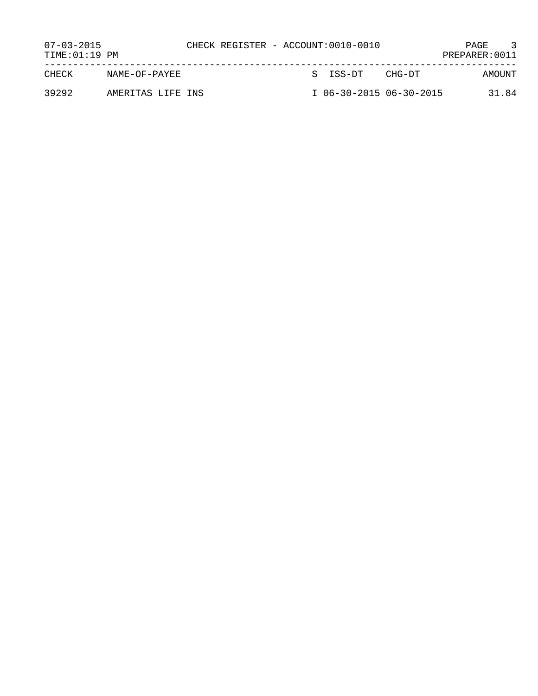| $07 - 03 - 2015$<br>TIME: 01:19 PM |                   |  | CHECK REGISTER - ACCOUNT:0010-0010 |        | PAGE<br>PREPARER: 0011 |
|------------------------------------|-------------------|--|------------------------------------|--------|------------------------|
| CHECK                              | NAME-OF-PAYEE     |  | S ISS-DT                           | CHG-DT | AMOUNT                 |
| 39292                              | AMERITAS LIFE INS |  | I 06-30-2015 06-30-2015            |        | 31.84                  |